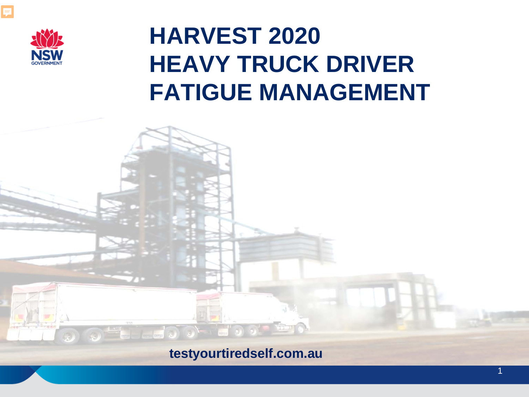

### **HARVEST 2020 HEAVY TRUCK DRIVER FATIGUE MANAGEMENT**

#### **testyourtiredself.com.au**

1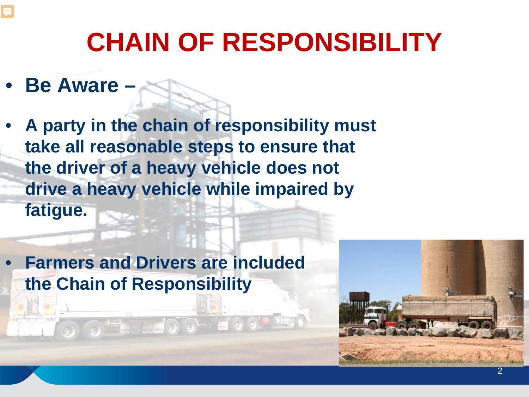

- **Be Aware –**
- **A party in the chain of responsibility must take all reasonable steps to ensure that the driver of a heavy vehicle does not drive a heavy vehicle while impaired by fatigue.**
- **Farmers and Drivers are included the Chain of Responsibility**

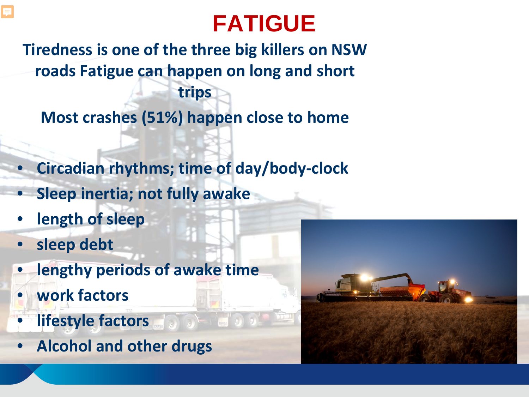## **FATIGUE**

**Tiredness is one of the three big killers on NSW roads Fatigue can happen on long and short trips**

**Most crashes (51%) happen close to home**

- **Circadian rhythms; time of day/body-clock**
- **Sleep inertia; not fully awake**
- **length of sleep**
- **sleep debt**

E

- **lengthy periods of awake time**
- **work factors**
- **lifestyle factors**
- **Alcohol and other drugs**

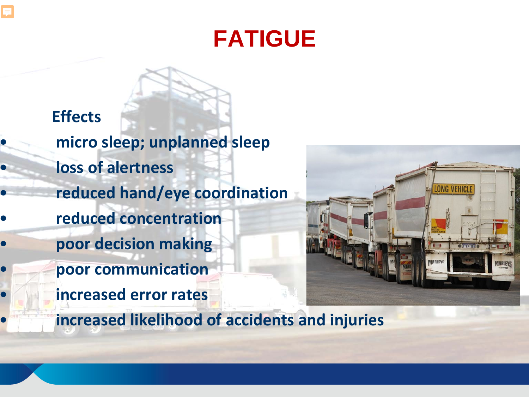### **FATIGUE**

**Effects** • **micro sleep; unplanned sleep** • **loss of alertness**  • **reduced hand/eye coordination** • **reduced concentration** • **poor decision making** • **poor communication** • **increased error rates**

E



• **increased likelihood of accidents and injuries**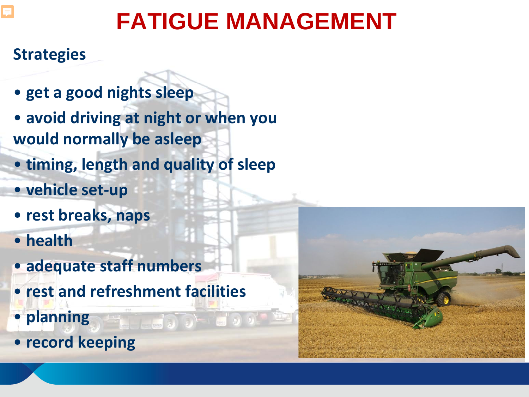### **Strategies**

- **get a good nights sleep**
- **avoid driving at night or when you would normally be asleep**
- **timing, length and quality of sleep**
- **vehicle set-up**
- **rest breaks, naps**
- **health**
- **adequate staff numbers**
- **rest and refreshment facilities**
- **planning**
- **record keeping**

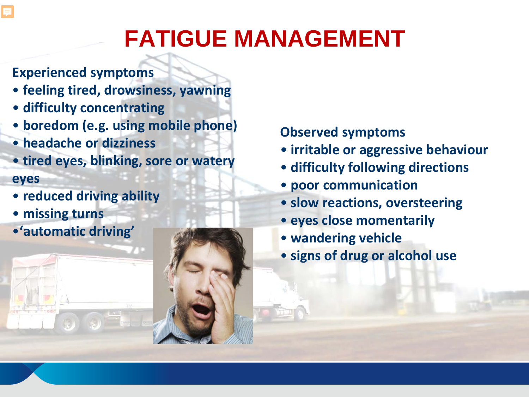- **Experienced symptoms**
- **feeling tired, drowsiness, yawning**
- **difficulty concentrating**
- **boredom (e.g. using mobile phone)**
- **headache or dizziness**
- **tired eyes, blinking, sore or watery eyes**
- **reduced driving ability**
- **missing turns**
- •**'automatic driving'**

#### **Observed symptoms**

- **irritable or aggressive behaviour**
- **difficulty following directions**
- **poor communication**
- **slow reactions, oversteering**
- **eyes close momentarily**
- **wandering vehicle**
- **signs of drug or alcohol use**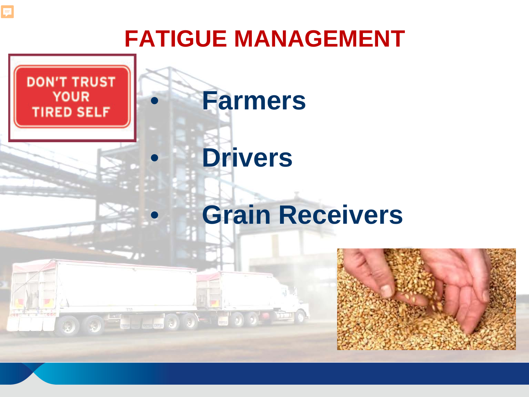$\equiv$ 

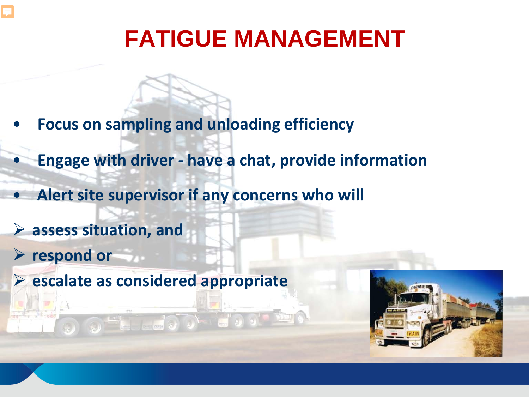- **Focus on sampling and unloading efficiency**
- **Engage with driver - have a chat, provide information**
- **Alert site supervisor if any concerns who will**
- **assess situation, and**
- **respond or**
- **escalate as considered appropriate**